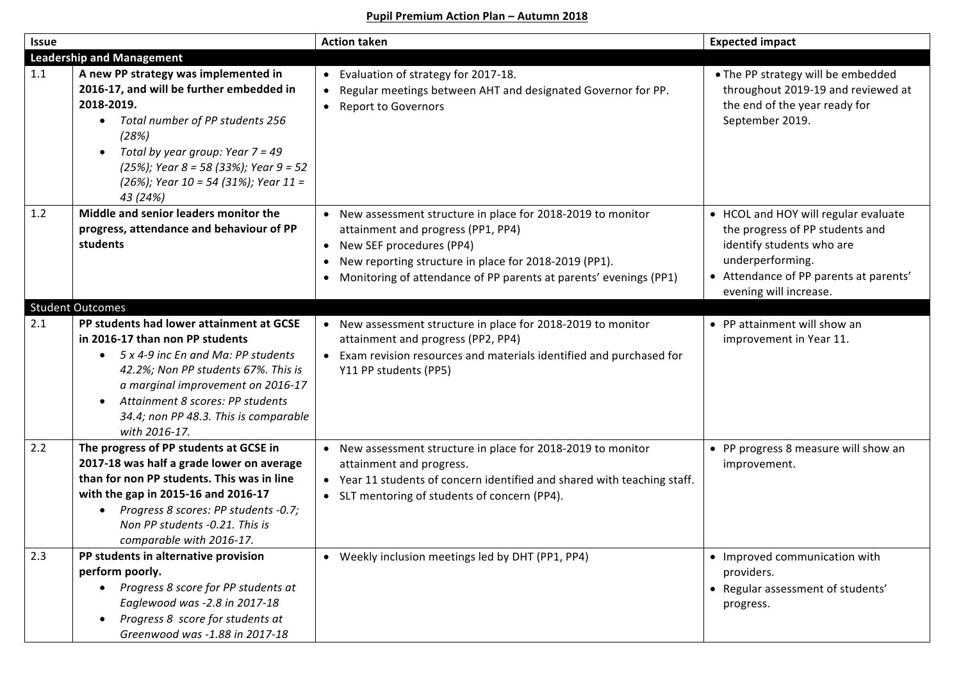## **Pupil Premium Action Plan – Autumn 2018**

| <b>Issue</b>                     |                                                                                                                                                                                                                                                                                                                       | <b>Action taken</b>                                                                                                                                                                                                                                                           | <b>Expected impact</b>                                                                                                                                                                       |  |  |
|----------------------------------|-----------------------------------------------------------------------------------------------------------------------------------------------------------------------------------------------------------------------------------------------------------------------------------------------------------------------|-------------------------------------------------------------------------------------------------------------------------------------------------------------------------------------------------------------------------------------------------------------------------------|----------------------------------------------------------------------------------------------------------------------------------------------------------------------------------------------|--|--|
| <b>Leadership and Management</b> |                                                                                                                                                                                                                                                                                                                       |                                                                                                                                                                                                                                                                               |                                                                                                                                                                                              |  |  |
| 1.1                              | A new PP strategy was implemented in<br>2016-17, and will be further embedded in<br>2018-2019.<br>Total number of PP students 256<br>$\bullet$<br>(28%)<br>Total by year group: Year $7 = 49$<br>$\bullet$<br>$(25%)$ ; Year 8 = 58 (33%); Year 9 = 52<br>$(26%)$ ; Year 10 = 54 (31%); Year 11 =<br>43 (24%)         | • Evaluation of strategy for 2017-18.<br>Regular meetings between AHT and designated Governor for PP.<br>$\bullet$<br><b>Report to Governors</b><br>$\bullet$                                                                                                                 | • The PP strategy will be embedded<br>throughout 2019-19 and reviewed at<br>the end of the year ready for<br>September 2019.                                                                 |  |  |
| 1.2                              | Middle and senior leaders monitor the<br>progress, attendance and behaviour of PP<br>students                                                                                                                                                                                                                         | • New assessment structure in place for 2018-2019 to monitor<br>attainment and progress (PP1, PP4)<br>• New SEF procedures (PP4)<br>New reporting structure in place for 2018-2019 (PP1).<br>$\bullet$<br>• Monitoring of attendance of PP parents at parents' evenings (PP1) | • HCOL and HOY will regular evaluate<br>the progress of PP students and<br>identify students who are<br>underperforming.<br>• Attendance of PP parents at parents'<br>evening will increase. |  |  |
|                                  | <b>Student Outcomes</b>                                                                                                                                                                                                                                                                                               |                                                                                                                                                                                                                                                                               |                                                                                                                                                                                              |  |  |
| 2.1                              | PP students had lower attainment at GCSE<br>in 2016-17 than non PP students<br>5 x 4-9 inc En and Ma: PP students<br>$\bullet$<br>42.2%; Non PP students 67%. This is<br>a marginal improvement on 2016-17<br>Attainment 8 scores: PP students<br>$\bullet$<br>34.4; non PP 48.3. This is comparable<br>with 2016-17. | • New assessment structure in place for 2018-2019 to monitor<br>attainment and progress (PP2, PP4)<br>• Exam revision resources and materials identified and purchased for<br>Y11 PP students (PP5)                                                                           | • PP attainment will show an<br>improvement in Year 11.                                                                                                                                      |  |  |
| 2.2                              | The progress of PP students at GCSE in<br>2017-18 was half a grade lower on average<br>than for non PP students. This was in line<br>with the gap in 2015-16 and 2016-17<br>Progress 8 scores: PP students -0.7;<br>$\bullet$<br>Non PP students -0.21. This is<br>comparable with 2016-17.                           | • New assessment structure in place for 2018-2019 to monitor<br>attainment and progress.<br>• Year 11 students of concern identified and shared with teaching staff.<br>• SLT mentoring of students of concern (PP4).                                                         | • PP progress 8 measure will show an<br>improvement.                                                                                                                                         |  |  |
| 2.3                              | PP students in alternative provision<br>perform poorly.<br>Progress 8 score for PP students at<br>$\bullet$<br>Eaglewood was -2.8 in 2017-18<br>Progress 8 score for students at<br>$\bullet$<br>Greenwood was -1.88 in 2017-18                                                                                       | • Weekly inclusion meetings led by DHT (PP1, PP4)                                                                                                                                                                                                                             | • Improved communication with<br>providers.<br>• Regular assessment of students'<br>progress.                                                                                                |  |  |